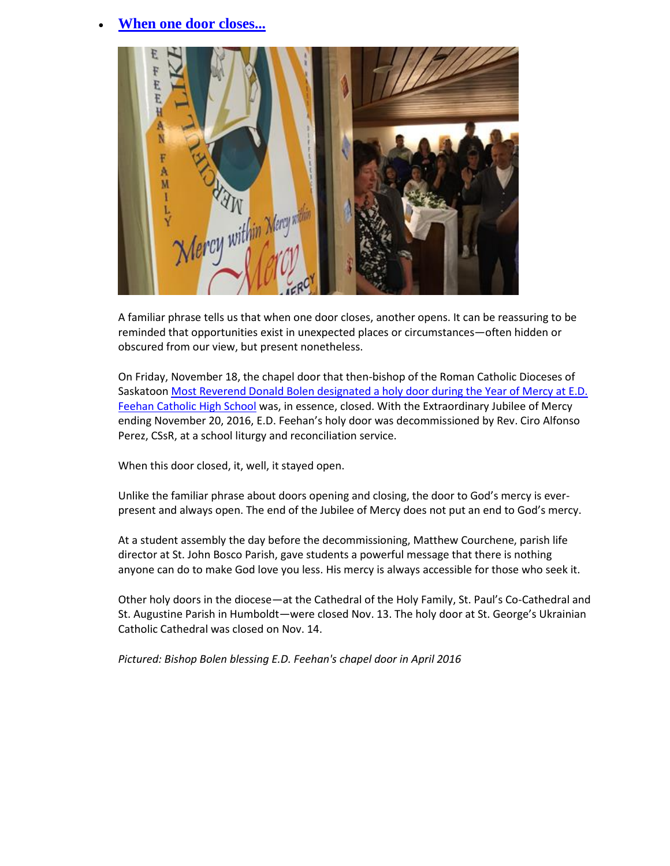## **[When one door closes...](https://www.gscs.ca/News/Pages/AnnouncementsDisp.aspx?FilterField1=ID&FilterValue1=43)**



A familiar phrase tells us that when one door closes, another opens. It can be reassuring to be reminded that opportunities exist in unexpected places or circumstances—often hidden or obscured from our view, but present nonetheless.

On Friday, November 18, the chapel door that then-bishop of the Roman Catholic Dioceses of Saskatoon Most Reverend Donald Bolen designated a holy door during the Year of Mercy at E.D. [Feehan Catholic High School](https://www.gscs.ca/News/Pages/AnnouncementsDisp.aspx?FilterField1=ID&FilterValue1=21) was, in essence, closed. With the Extraordinary Jubilee of Mercy ending November 20, 2016, E.D. Feehan's holy door was decommissioned by Rev. Ciro Alfonso Perez, CSsR, at a school liturgy and reconciliation service.

When this door closed, it, well, it stayed open.

Unlike the familiar phrase about doors opening and closing, the door to God's mercy is everpresent and always open. The end of the Jubilee of Mercy does not put an end to God's mercy.

At a student assembly the day before the decommissioning, Matthew Courchene, parish life director at St. John Bosco Parish, gave students a powerful message that there is nothing anyone can do to make God love you less. His mercy is always accessible for those who seek it.

Other holy doors in the diocese—at the Cathedral of the Holy Family, St. Paul's Co-Cathedral and St. Augustine Parish in Humboldt—were closed Nov. 13. The holy door at St. George's Ukrainian Catholic Cathedral was closed on Nov. 14.

*Pictured: Bishop Bolen blessing E.D. Feehan's chapel door in April 2016*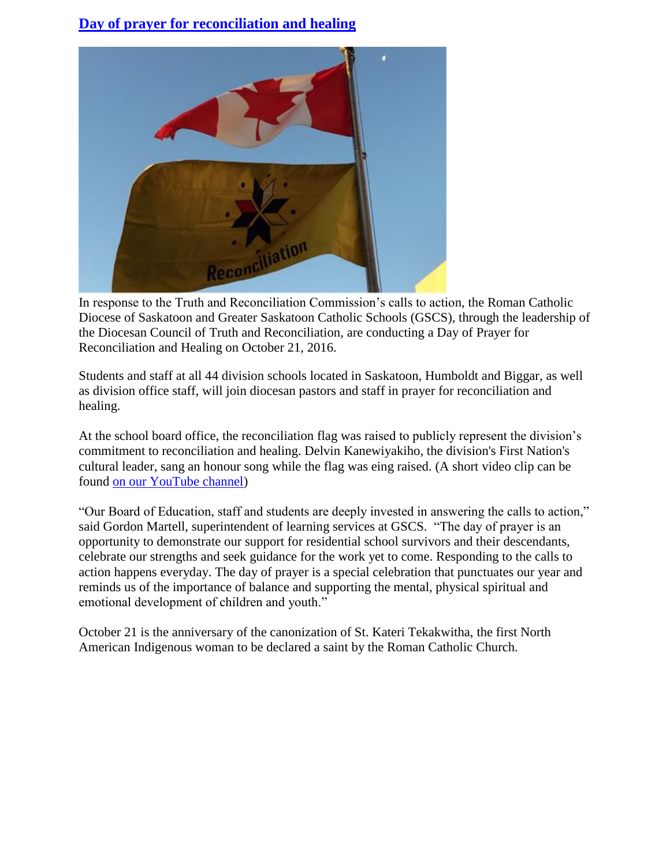## **[Day of prayer for reconciliation and healing](https://www.gscs.ca/News/Pages/AnnouncementsDisp.aspx?FilterField1=ID&FilterValue1=41)**



In response to the Truth and Reconciliation Commission's calls to action, the Roman Catholic Diocese of Saskatoon and Greater Saskatoon Catholic Schools (GSCS), through the leadership of the Diocesan Council of Truth and Reconciliation, are conducting a Day of Prayer for Reconciliation and Healing on October 21, 2016.

Students and staff at all 44 division schools located in Saskatoon, Humboldt and Biggar, as well as division office staff, will join diocesan pastors and staff in prayer for reconciliation and healing.

At the school board office, the reconciliation flag was raised to publicly represent the division's commitment to reconciliation and healing. Delvin Kanewiyakiho, the division's First Nation's cultural leader, sang an honour song while the flag was eing raised. (A short video clip can be found [on our YouTube channel\)](https://youtu.be/DrrvogrWyoA)

"Our Board of Education, staff and students are deeply invested in answering the calls to action," said Gordon Martell, superintendent of learning services at GSCS. "The day of prayer is an opportunity to demonstrate our support for residential school survivors and their descendants, celebrate our strengths and seek guidance for the work yet to come. Responding to the calls to action happens everyday. The day of prayer is a special celebration that punctuates our year and reminds us of the importance of balance and supporting the mental, physical spiritual and emotional development of children and youth."

October 21 is the anniversary of the canonization of St. Kateri Tekakwitha, the first North American Indigenous woman to be declared a saint by the Roman Catholic Church.